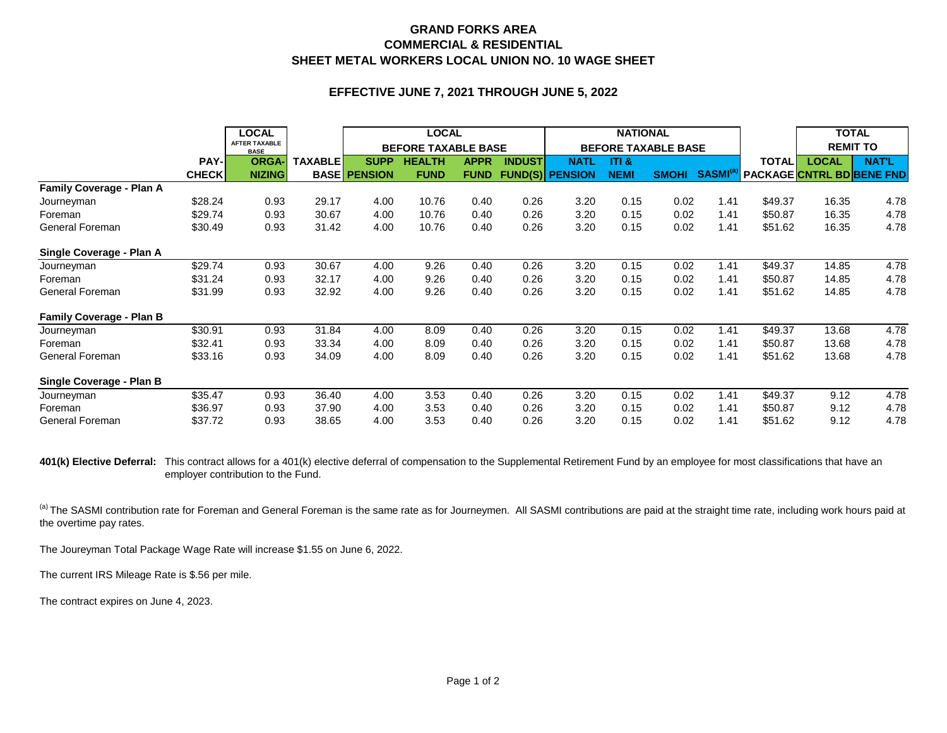## **GRAND FORKS AREA SHEET METAL WORKERS LOCAL UNION NO. 10 WAGE SHEET COMMERCIAL & RESIDENTIAL**

## **EFFECTIVE JUNE 7, 2021 THROUGH JUNE 5, 2022**

|                                 |              | <b>LOCAL</b>                        |                | <b>LOCAL</b>               |               |             | <b>NATIONAL</b><br><b>BEFORE TAXABLE BASE</b> |                        |             |              |                           | <b>TOTAL</b><br><b>REMIT TO</b>  |       |              |
|---------------------------------|--------------|-------------------------------------|----------------|----------------------------|---------------|-------------|-----------------------------------------------|------------------------|-------------|--------------|---------------------------|----------------------------------|-------|--------------|
|                                 |              | <b>AFTER TAXABLE</b><br><b>BASE</b> |                | <b>BEFORE TAXABLE BASE</b> |               |             |                                               |                        |             |              |                           |                                  |       |              |
|                                 | PAY-         | <b>ORGA-</b>                        | <b>TAXABLE</b> | <b>SUPP</b>                | <b>HEALTH</b> | <b>APPR</b> | <b>INDUST</b>                                 | <b>NATL</b>            | ITI &       |              |                           | <b>TOTAL</b>                     | LOCAL | <b>NAT'L</b> |
|                                 | <b>CHECK</b> | <b>NIZING</b>                       |                | <b>BASE PENSION</b>        | <b>FUND</b>   | <b>FUND</b> |                                               | <b>FUND(S) PENSION</b> | <b>NEMI</b> | <b>SMOHI</b> | <b>SASMI</b> <sup>®</sup> | <b>PACKAGE CNTRL BD BENE FND</b> |       |              |
| <b>Family Coverage - Plan A</b> |              |                                     |                |                            |               |             |                                               |                        |             |              |                           |                                  |       |              |
| Journeyman                      | \$28.24      | 0.93                                | 29.17          | 4.00                       | 10.76         | 0.40        | 0.26                                          | 3.20                   | 0.15        | 0.02         | 1.41                      | \$49.37                          | 16.35 | 4.78         |
| Foreman                         | \$29.74      | 0.93                                | 30.67          | 4.00                       | 10.76         | 0.40        | 0.26                                          | 3.20                   | 0.15        | 0.02         | 1.41                      | \$50.87                          | 16.35 | 4.78         |
| General Foreman                 | \$30.49      | 0.93                                | 31.42          | 4.00                       | 10.76         | 0.40        | 0.26                                          | 3.20                   | 0.15        | 0.02         | 1.41                      | \$51.62                          | 16.35 | 4.78         |
| Single Coverage - Plan A        |              |                                     |                |                            |               |             |                                               |                        |             |              |                           |                                  |       |              |
| Journeyman                      | \$29.74      | 0.93                                | 30.67          | 4.00                       | 9.26          | 0.40        | 0.26                                          | 3.20                   | 0.15        | 0.02         | 1.41                      | \$49.37                          | 14.85 | 4.78         |
| Foreman                         | \$31.24      | 0.93                                | 32.17          | 4.00                       | 9.26          | 0.40        | 0.26                                          | 3.20                   | 0.15        | 0.02         | 1.41                      | \$50.87                          | 14.85 | 4.78         |
| General Foreman                 | \$31.99      | 0.93                                | 32.92          | 4.00                       | 9.26          | 0.40        | 0.26                                          | 3.20                   | 0.15        | 0.02         | 1.41                      | \$51.62                          | 14.85 | 4.78         |
| <b>Family Coverage - Plan B</b> |              |                                     |                |                            |               |             |                                               |                        |             |              |                           |                                  |       |              |
| Journeyman                      | \$30.91      | 0.93                                | 31.84          | 4.00                       | 8.09          | 0.40        | 0.26                                          | 3.20                   | 0.15        | 0.02         | 1.41                      | \$49.37                          | 13.68 | 4.78         |
| Foreman                         | \$32.41      | 0.93                                | 33.34          | 4.00                       | 8.09          | 0.40        | 0.26                                          | 3.20                   | 0.15        | 0.02         | 1.41                      | \$50.87                          | 13.68 | 4.78         |
| General Foreman                 | \$33.16      | 0.93                                | 34.09          | 4.00                       | 8.09          | 0.40        | 0.26                                          | 3.20                   | 0.15        | 0.02         | 1.41                      | \$51.62                          | 13.68 | 4.78         |
| Single Coverage - Plan B        |              |                                     |                |                            |               |             |                                               |                        |             |              |                           |                                  |       |              |
| Journeyman                      | \$35.47      | 0.93                                | 36.40          | 4.00                       | 3.53          | 0.40        | 0.26                                          | 3.20                   | 0.15        | 0.02         | 1.41                      | \$49.37                          | 9.12  | 4.78         |
| Foreman                         | \$36.97      | 0.93                                | 37.90          | 4.00                       | 3.53          | 0.40        | 0.26                                          | 3.20                   | 0.15        | 0.02         | 1.41                      | \$50.87                          | 9.12  | 4.78         |
| General Foreman                 | \$37.72      | 0.93                                | 38.65          | 4.00                       | 3.53          | 0.40        | 0.26                                          | 3.20                   | 0.15        | 0.02         | 1.41                      | \$51.62                          | 9.12  | 4.78         |

401(k) Elective Deferral: This contract allows for a 401(k) elective deferral of compensation to the Supplemental Retirement Fund by an employee for most classifications that have an employer contribution to the Fund.

(a) The SASMI contribution rate for Foreman and General Foreman is the same rate as for Journeymen. All SASMI contributions are paid at the straight time rate, including work hours paid at the overtime pay rates.

The Joureyman Total Package Wage Rate will increase \$1.55 on June 6, 2022.

The current IRS Mileage Rate is \$.56 per mile.

The contract expires on June 4, 2023.